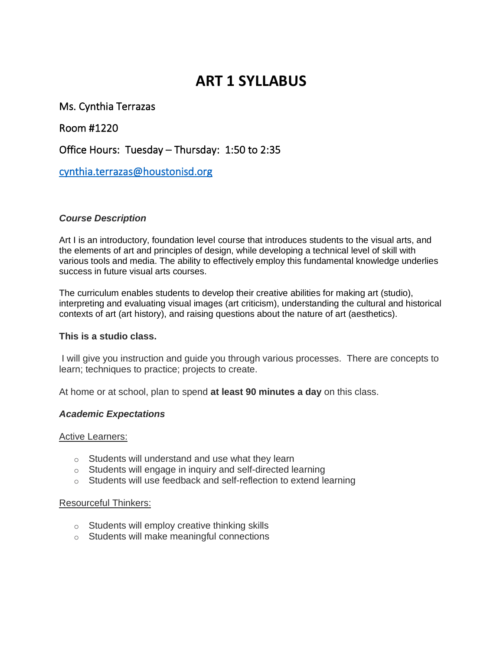# **ART 1 SYLLABUS**

Ms. Cynthia Terrazas

Room #1220

Office Hours: Tuesday – Thursday: 1:50 to 2:35

[cynthia.terrazas@houstonisd.org](mailto:cynthia.terrazas@houstonisd.org) 

### *Course Description*

Art I is an introductory, foundation level course that introduces students to the visual arts, and the elements of art and principles of design, while developing a technical level of skill with various tools and media. The ability to effectively employ this fundamental knowledge underlies success in future visual arts courses.

The curriculum enables students to develop their creative abilities for making art (studio), interpreting and evaluating visual images (art criticism), understanding the cultural and historical contexts of art (art history), and raising questions about the nature of art (aesthetics).

#### **This is a studio class.**

I will give you instruction and guide you through various processes. There are concepts to learn; techniques to practice; projects to create.

At home or at school, plan to spend **at least 90 minutes a day** on this class.

#### *Academic Expectations*

Active Learners:

- $\circ$  Students will understand and use what they learn
- o Students will engage in inquiry and self-directed learning
- o Students will use feedback and self-reflection to extend learning

#### Resourceful Thinkers:

- o Students will employ creative thinking skills
- o Students will make meaningful connections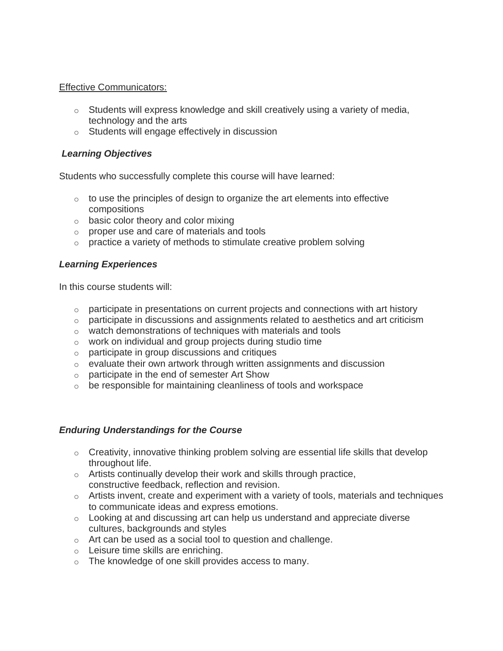#### Effective Communicators:

- $\circ$  Students will express knowledge and skill creatively using a variety of media, technology and the arts
- o Students will engage effectively in discussion

## *Learning Objectives*

Students who successfully complete this course will have learned:

- $\circ$  to use the principles of design to organize the art elements into effective compositions
- $\circ$  basic color theory and color mixing
- o proper use and care of materials and tools
- $\circ$  practice a variety of methods to stimulate creative problem solving

## *Learning Experiences*

In this course students will:

- $\circ$  participate in presentations on current projects and connections with art history
- o participate in discussions and assignments related to aesthetics and art criticism
- o watch demonstrations of techniques with materials and tools
- o work on individual and group projects during studio time
- o participate in group discussions and critiques
- o evaluate their own artwork through written assignments and discussion
- o participate in the end of semester Art Show
- $\circ$  be responsible for maintaining cleanliness of tools and workspace

## *Enduring Understandings for the Course*

- $\circ$  Creativity, innovative thinking problem solving are essential life skills that develop throughout life.
- $\circ$  Artists continually develop their work and skills through practice, constructive feedback, reflection and revision.
- $\circ$  Artists invent, create and experiment with a variety of tools, materials and techniques to communicate ideas and express emotions.
- $\circ$  Looking at and discussing art can help us understand and appreciate diverse cultures, backgrounds and styles
- o Art can be used as a social tool to question and challenge.
- o Leisure time skills are enriching.
- o The knowledge of one skill provides access to many.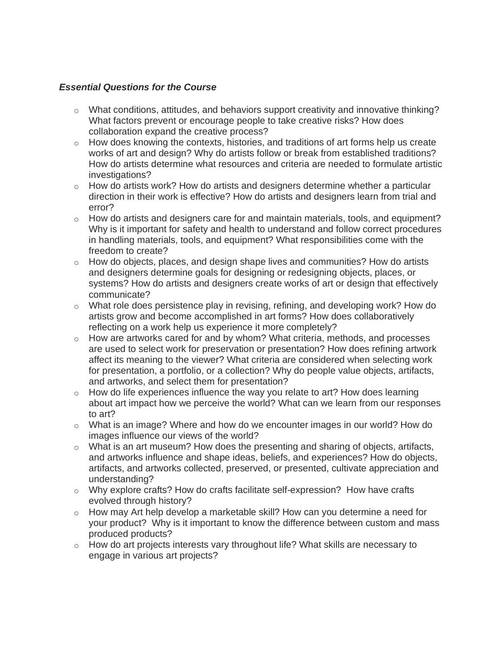### *Essential Questions for the Course*

- $\circ$  What conditions, attitudes, and behaviors support creativity and innovative thinking? What factors prevent or encourage people to take creative risks? How does collaboration expand the creative process?
- $\circ$  How does knowing the contexts, histories, and traditions of art forms help us create works of art and design? Why do artists follow or break from established traditions? How do artists determine what resources and criteria are needed to formulate artistic investigations?
- $\circ$  How do artists work? How do artists and designers determine whether a particular direction in their work is effective? How do artists and designers learn from trial and error?
- $\circ$  How do artists and designers care for and maintain materials, tools, and equipment? Why is it important for safety and health to understand and follow correct procedures in handling materials, tools, and equipment? What responsibilities come with the freedom to create?
- $\circ$  How do objects, places, and design shape lives and communities? How do artists and designers determine goals for designing or redesigning objects, places, or systems? How do artists and designers create works of art or design that effectively communicate?
- $\circ$  What role does persistence play in revising, refining, and developing work? How do artists grow and become accomplished in art forms? How does collaboratively reflecting on a work help us experience it more completely?
- $\circ$  How are artworks cared for and by whom? What criteria, methods, and processes are used to select work for preservation or presentation? How does refining artwork affect its meaning to the viewer? What criteria are considered when selecting work for presentation, a portfolio, or a collection? Why do people value objects, artifacts, and artworks, and select them for presentation?
- $\circ$  How do life experiences influence the way you relate to art? How does learning about art impact how we perceive the world? What can we learn from our responses to art?
- $\circ$  What is an image? Where and how do we encounter images in our world? How do images influence our views of the world?
- $\circ$  What is an art museum? How does the presenting and sharing of objects, artifacts, and artworks influence and shape ideas, beliefs, and experiences? How do objects, artifacts, and artworks collected, preserved, or presented, cultivate appreciation and understanding?
- $\circ$  Why explore crafts? How do crafts facilitate self-expression? How have crafts evolved through history?
- $\circ$  How may Art help develop a marketable skill? How can you determine a need for your product? Why is it important to know the difference between custom and mass produced products?
- $\circ$  How do art projects interests vary throughout life? What skills are necessary to engage in various art projects?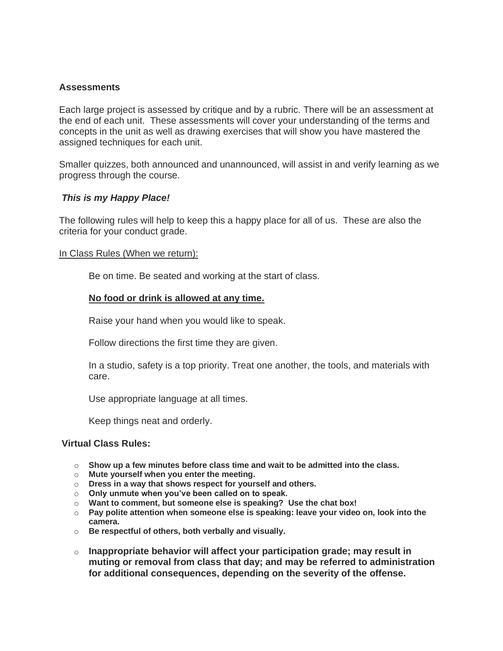#### **Assessments**

Each large project is assessed by critique and by a rubric. There will be an assessment at the end of each unit. These assessments will cover your understanding of the terms and concepts in the unit as well as drawing exercises that will show you have mastered the assigned techniques for each unit.

Smaller quizzes, both announced and unannounced, will assist in and verify learning as we progress through the course.

#### *This is my Happy Place!*

The following rules will help to keep this a happy place for all of us. These are also the criteria for your conduct grade.

#### In Class Rules (When we return):

Be on time. Be seated and working at the start of class.

#### **No food or drink is allowed at any time.**

Raise your hand when you would like to speak.

Follow directions the first time they are given.

In a studio, safety is a top priority. Treat one another, the tools, and materials with care.

Use appropriate language at all times.

Keep things neat and orderly.

#### **Virtual Class Rules:**

- o **Show up a few minutes before class time and wait to be admitted into the class.**
- o **Mute yourself when you enter the meeting.**
- o **Dress in a way that shows respect for yourself and others.**
- o **Only unmute when you've been called on to speak.**
- o **Want to comment, but someone else is speaking? Use the chat box!**
- o **Pay polite attention when someone else is speaking: leave your video on, look into the camera.**
- o **Be respectful of others, both verbally and visually.**
- o **Inappropriate behavior will affect your participation grade; may result in muting or removal from class that day; and may be referred to administration for additional consequences, depending on the severity of the offense.**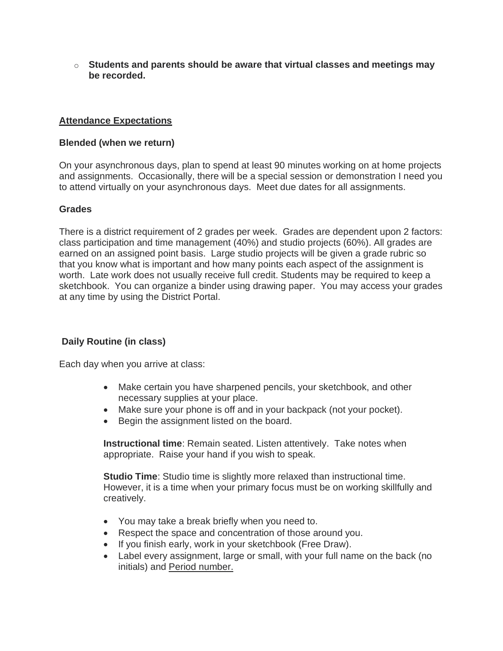o **Students and parents should be aware that virtual classes and meetings may be recorded.**

## **Attendance Expectations**

#### **Blended (when we return)**

On your asynchronous days, plan to spend at least 90 minutes working on at home projects and assignments. Occasionally, there will be a special session or demonstration I need you to attend virtually on your asynchronous days. Meet due dates for all assignments.

#### **Grades**

There is a district requirement of 2 grades per week. Grades are dependent upon 2 factors: class participation and time management (40%) and studio projects (60%). All grades are earned on an assigned point basis. Large studio projects will be given a grade rubric so that you know what is important and how many points each aspect of the assignment is worth. Late work does not usually receive full credit. Students may be required to keep a sketchbook. You can organize a binder using drawing paper. You may access your grades at any time by using the District Portal.

## **Daily Routine (in class)**

Each day when you arrive at class:

- Make certain you have sharpened pencils, your sketchbook, and other necessary supplies at your place.
- Make sure your phone is off and in your backpack (not your pocket).
- Begin the assignment listed on the board.

**Instructional time**: Remain seated. Listen attentively. Take notes when appropriate. Raise your hand if you wish to speak.

**Studio Time**: Studio time is slightly more relaxed than instructional time. However, it is a time when your primary focus must be on working skillfully and creatively.

- You may take a break briefly when you need to.
- Respect the space and concentration of those around you.
- If you finish early, work in your sketchbook (Free Draw).
- Label every assignment, large or small, with your full name on the back (no initials) and Period number.